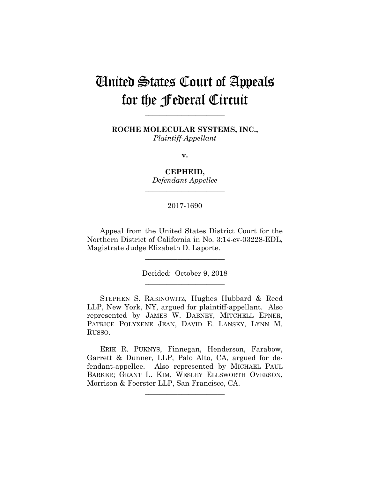# United States Court of Appeals for the Federal Circuit

**ROCHE MOLECULAR SYSTEMS, INC.,** *Plaintiff-Appellant*

**\_\_\_\_\_\_\_\_\_\_\_\_\_\_\_\_\_\_\_\_\_\_** 

**v.**

**CEPHEID,** *Defendant-Appellee*

## 2017-1690 **\_\_\_\_\_\_\_\_\_\_\_\_\_\_\_\_\_\_\_\_\_\_**

**\_\_\_\_\_\_\_\_\_\_\_\_\_\_\_\_\_\_\_\_\_\_** 

Appeal from the United States District Court for the Northern District of California in No. 3:14-cv-03228-EDL, Magistrate Judge Elizabeth D. Laporte.

> Decided: October 9, 2018 **\_\_\_\_\_\_\_\_\_\_\_\_\_\_\_\_\_\_\_\_\_\_**

**\_\_\_\_\_\_\_\_\_\_\_\_\_\_\_\_\_\_\_\_\_\_** 

 STEPHEN S. RABINOWITZ, Hughes Hubbard & Reed LLP, New York, NY, argued for plaintiff-appellant. Also represented by JAMES W. DABNEY, MITCHELL EPNER, PATRICE POLYXENE JEAN, DAVID E. LANSKY, LYNN M. RUSSO.

 ERIK R. PUKNYS, Finnegan, Henderson, Farabow, Garrett & Dunner, LLP, Palo Alto, CA, argued for defendant-appellee. Also represented by MICHAEL PAUL BARKER; GRANT L. KIM, WESLEY ELLSWORTH OVERSON, Morrison & Foerster LLP, San Francisco, CA.

**\_\_\_\_\_\_\_\_\_\_\_\_\_\_\_\_\_\_\_\_\_\_**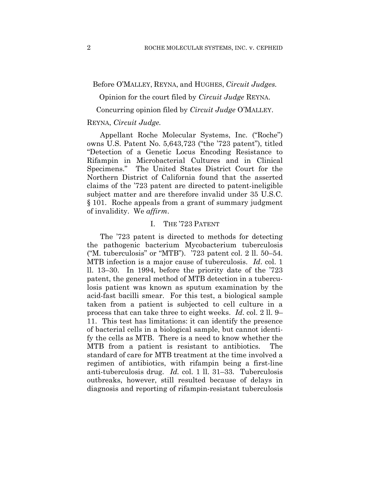#### Before O'MALLEY, REYNA, and HUGHES, *Circuit Judges.*

Opinion for the court filed by *Circuit Judge* REYNA.

Concurring opinion filed by *Circuit Judge* O'MALLEY.

### REYNA, *Circuit Judge.*

Appellant Roche Molecular Systems, Inc. ("Roche") owns U.S. Patent No. 5,643,723 ("the '723 patent"), titled "Detection of a Genetic Locus Encoding Resistance to Rifampin in Microbacterial Cultures and in Clinical Specimens." The United States District Court for the Northern District of California found that the asserted claims of the '723 patent are directed to patent-ineligible subject matter and are therefore invalid under 35 U.S.C. § 101. Roche appeals from a grant of summary judgment of invalidity. We *affirm*.

#### I. THE '723 PATENT

The '723 patent is directed to methods for detecting the pathogenic bacterium Mycobacterium tuberculosis ("M. tuberculosis" or "MTB"). '723 patent col. 2 ll. 50–54. MTB infection is a major cause of tuberculosis. *Id*. col. 1 ll. 13–30. In 1994, before the priority date of the '723 patent, the general method of MTB detection in a tuberculosis patient was known as sputum examination by the acid-fast bacilli smear. For this test, a biological sample taken from a patient is subjected to cell culture in a process that can take three to eight weeks. *Id*. col. 2 ll. 9– 11.This test has limitations: it can identify the presence of bacterial cells in a biological sample, but cannot identify the cells as MTB. There is a need to know whether the MTB from a patient is resistant to antibiotics. The standard of care for MTB treatment at the time involved a regimen of antibiotics, with rifampin being a first-line anti-tuberculosis drug. *Id.* col. 1 ll. 31–33. Tuberculosis outbreaks, however, still resulted because of delays in diagnosis and reporting of rifampin-resistant tuberculosis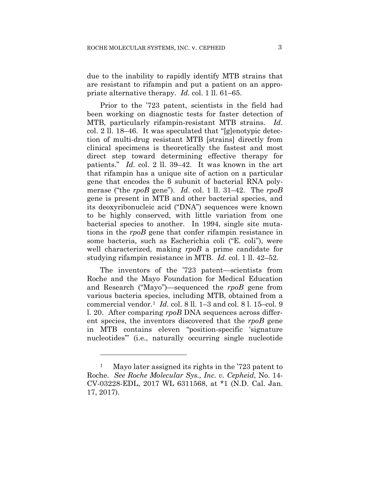due to the inability to rapidly identify MTB strains that are resistant to rifampin and put a patient on an appropriate alternative therapy. *Id.* col. 1 ll. 61–65.

Prior to the '723 patent, scientists in the field had been working on diagnostic tests for faster detection of MTB, particularly rifampin-resistant MTB strains. *Id*. col. 2 ll. 18–46. It was speculated that "[g]enotypic detection of multi-drug resistant MTB [strains] directly from clinical specimens is theoretically the fastest and most direct step toward determining effective therapy for patients." *Id*. col. 2 ll. 39–42. It was known in the art that rifampin has a unique site of action on a particular gene that encodes the β subunit of bacterial RNA polymerase ("the *rpoB* gene"). *Id*. col. 1 ll. 31–42. The *rpoB* gene is present in MTB and other bacterial species, and its deoxyribonucleic acid ("DNA") sequences were known to be highly conserved, with little variation from one bacterial species to another. In 1994, single site mutations in the *rpoB* gene that confer rifampin resistance in some bacteria, such as Escherichia coli ("E. coli"), were well characterized, making *rpoB* a prime candidate for studying rifampin resistance in MTB. *Id*. col. 1 ll. 42–52.

The inventors of the '723 patent—scientists from Roche and the Mayo Foundation for Medical Education and Research ("Mayo")—sequenced the *rpoB* gene from various bacteria species, including MTB, obtained from a commercial vendor.1 *Id*. col. 8 ll. 1–3 and col. 8 l. 15–col. 9 l. 20. After comparing *rpoB* DNA sequences across different species, the inventors discovered that the *rpoB* gene in MTB contains eleven "position-specific 'signature nucleotides" (i.e., naturally occurring single nucleotide

<u>.</u>

<sup>&</sup>lt;sup>1</sup> Mayo later assigned its rights in the '723 patent to Roche. *See Roche Molecular Sys., Inc. v. Cepheid*, No. 14- CV-03228-EDL, 2017 WL 6311568, at \*1 (N.D. Cal. Jan. 17, 2017).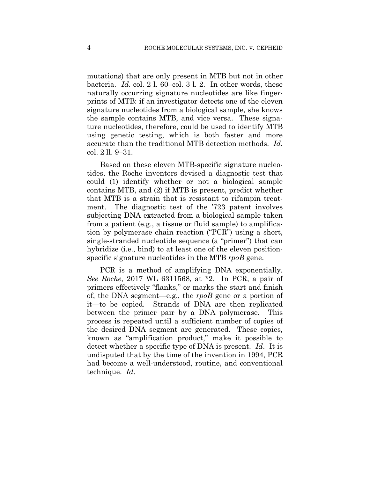mutations) that are only present in MTB but not in other bacteria. *Id*. col. 2 l. 60–col. 3 l. 2. In other words, these naturally occurring signature nucleotides are like fingerprints of MTB: if an investigator detects one of the eleven signature nucleotides from a biological sample, she knows the sample contains MTB, and vice versa. These signature nucleotides, therefore, could be used to identify MTB using genetic testing, which is both faster and more accurate than the traditional MTB detection methods. *Id*. col. 2 ll. 9–31.

Based on these eleven MTB-specific signature nucleotides, the Roche inventors devised a diagnostic test that could (1) identify whether or not a biological sample contains MTB, and (2) if MTB is present, predict whether that MTB is a strain that is resistant to rifampin treatment. The diagnostic test of the '723 patent involves subjecting DNA extracted from a biological sample taken from a patient (e.g., a tissue or fluid sample) to amplification by polymerase chain reaction ("PCR") using a short, single-stranded nucleotide sequence (a "primer") that can hybridize (i.e., bind) to at least one of the eleven positionspecific signature nucleotides in the MTB *rpoB* gene.

PCR is a method of amplifying DNA exponentially. *See Roche*, 2017 WL 6311568, at \*2. In PCR, a pair of primers effectively "flanks," or marks the start and finish of, the DNA segment—e.g., the *rpoB* gene or a portion of it—to be copied. Strands of DNA are then replicated between the primer pair by a DNA polymerase. This process is repeated until a sufficient number of copies of the desired DNA segment are generated. These copies, known as "amplification product," make it possible to detect whether a specific type of DNA is present. *Id*. It is undisputed that by the time of the invention in 1994, PCR had become a well-understood, routine, and conventional technique. *Id*.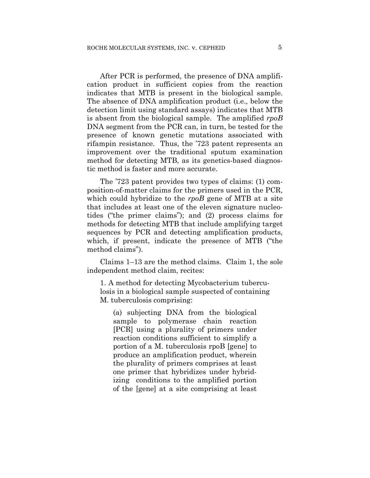After PCR is performed, the presence of DNA amplification product in sufficient copies from the reaction indicates that MTB is present in the biological sample. The absence of DNA amplification product (i.e., below the detection limit using standard assays) indicates that MTB is absent from the biological sample. The amplified *rpoB* DNA segment from the PCR can, in turn, be tested for the presence of known genetic mutations associated with rifampin resistance. Thus, the '723 patent represents an improvement over the traditional sputum examination method for detecting MTB, as its genetics-based diagnostic method is faster and more accurate.

The '723 patent provides two types of claims: (1) composition-of-matter claims for the primers used in the PCR, which could hybridize to the *rpoB* gene of MTB at a site that includes at least one of the eleven signature nucleotides ("the primer claims"); and (2) process claims for methods for detecting MTB that include amplifying target sequences by PCR and detecting amplification products, which, if present, indicate the presence of MTB ("the method claims").

Claims 1–13 are the method claims. Claim 1, the sole independent method claim, recites:

1. A method for detecting Mycobacterium tuberculosis in a biological sample suspected of containing M. tuberculosis comprising:

(a) subjecting DNA from the biological sample to polymerase chain reaction [PCR] using a plurality of primers under reaction conditions sufficient to simplify a portion of a M. tuberculosis rpoB [gene] to produce an amplification product, wherein the plurality of primers comprises at least one primer that hybridizes under hybridizing conditions to the amplified portion of the [gene] at a site comprising at least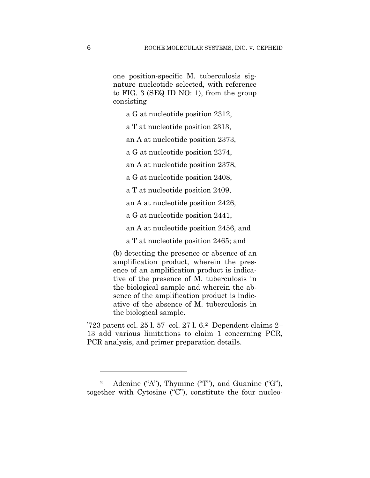one position-specific M. tuberculosis signature nucleotide selected, with reference to FIG. 3 (SEQ ID NO: 1), from the group consisting

a G at nucleotide position 2312,

a T at nucleotide position 2313,

an A at nucleotide position 2373,

a G at nucleotide position 2374,

an A at nucleotide position 2378,

a G at nucleotide position 2408,

a T at nucleotide position 2409,

an A at nucleotide position 2426,

a G at nucleotide position 2441,

an A at nucleotide position 2456, and

a T at nucleotide position 2465; and

(b) detecting the presence or absence of an amplification product, wherein the presence of an amplification product is indicative of the presence of M. tuberculosis in the biological sample and wherein the absence of the amplification product is indicative of the absence of M. tuberculosis in the biological sample.

'723 patent col. 25 l. 57–col. 27 l. 6.2 Dependent claims 2– 13 add various limitations to claim 1 concerning PCR, PCR analysis, and primer preparation details.

1

<sup>&</sup>lt;sup>2</sup> Adenine ("A"), Thymine ("T"), and Guanine ("G"), together with Cytosine ("C"), constitute the four nucleo-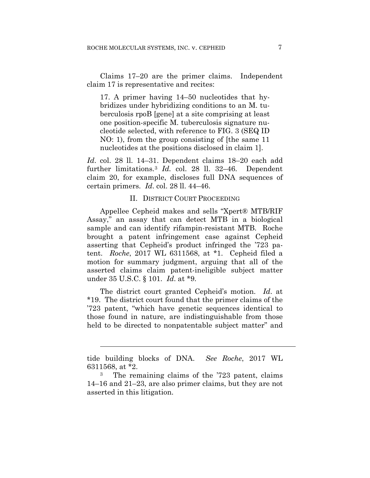Claims 17–20 are the primer claims. Independent claim 17 is representative and recites:

17. A primer having 14–50 nucleotides that hybridizes under hybridizing conditions to an M. tuberculosis rpoB [gene] at a site comprising at least one position-specific M. tuberculosis signature nucleotide selected, with reference to FIG. 3 (SEQ ID NO: 1), from the group consisting of [the same 11 nucleotides at the positions disclosed in claim 1].

*Id*. col. 28 ll. 14–31. Dependent claims 18–20 each add further limitations.3 *Id.* col. 28 ll. 32–46. Dependent claim 20, for example, discloses full DNA sequences of certain primers. *Id*. col. 28 ll. 44–46.

#### II. DISTRICT COURT PROCEEDING

Appellee Cepheid makes and sells "Xpert® MTB/RIF Assay," an assay that can detect MTB in a biological sample and can identify rifampin-resistant MTB. Roche brought a patent infringement case against Cepheid asserting that Cepheid's product infringed the '723 patent. *Roche*, 2017 WL 6311568, at \*1. Cepheid filed a motion for summary judgment, arguing that all of the asserted claims claim patent-ineligible subject matter under 35 U.S.C. § 101. *Id*. at \*9.

The district court granted Cepheid's motion. *Id*. at \*19. The district court found that the primer claims of the '723 patent, "which have genetic sequences identical to those found in nature, are indistinguishable from those held to be directed to nonpatentable subject matter" and

l

tide building blocks of DNA. *See Roche*, 2017 WL 6311568, at  $*2$ .<br><sup>3</sup> The remaining claims of the '723 patent, claims

<sup>14–16</sup> and 21–23, are also primer claims, but they are not asserted in this litigation.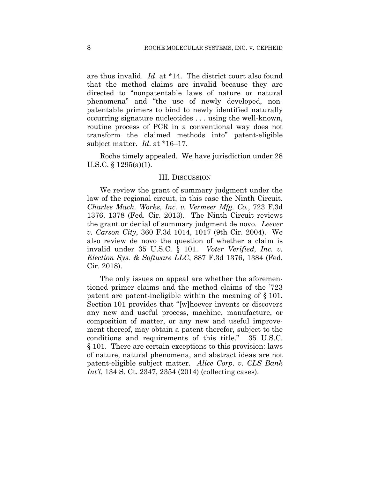are thus invalid. *Id*. at \*14. The district court also found that the method claims are invalid because they are directed to "nonpatentable laws of nature or natural phenomena" and "the use of newly developed, nonpatentable primers to bind to newly identified naturally occurring signature nucleotides . . . using the well-known, routine process of PCR in a conventional way does not transform the claimed methods into" patent-eligible subject matter. *Id*. at \*16–17.

Roche timely appealed. We have jurisdiction under 28 U.S.C. § 1295(a)(1).

#### III. DISCUSSION

We review the grant of summary judgment under the law of the regional circuit, in this case the Ninth Circuit. *Charles Mach. Works, Inc. v. Vermeer Mfg. Co.*, 723 F.3d 1376, 1378 (Fed. Cir. 2013). The Ninth Circuit reviews the grant or denial of summary judgment de novo. *Leever v. Carson City*, 360 F.3d 1014, 1017 (9th Cir. 2004). We also review de novo the question of whether a claim is invalid under 35 U.S.C. § 101. *Voter Verified, Inc. v. Election Sys. & Software LLC*, 887 F.3d 1376, 1384 (Fed. Cir. 2018).

The only issues on appeal are whether the aforementioned primer claims and the method claims of the '723 patent are patent-ineligible within the meaning of § 101. Section 101 provides that "[w]hoever invents or discovers any new and useful process, machine, manufacture, or composition of matter, or any new and useful improvement thereof, may obtain a patent therefor, subject to the conditions and requirements of this title." 35 U.S.C. § 101. There are certain exceptions to this provision: laws of nature, natural phenomena, and abstract ideas are not patent-eligible subject matter. *Alice Corp. v. CLS Bank Int'l*, 134 S. Ct. 2347, 2354 (2014) (collecting cases).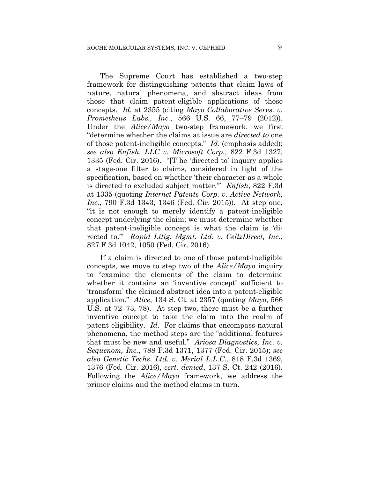The Supreme Court has established a two-step framework for distinguishing patents that claim laws of nature, natural phenomena, and abstract ideas from those that claim patent-eligible applications of those concepts. *Id.* at 2355 (citing *Mayo Collaborative Servs. v. Prometheus Labs., Inc.*, 566 U.S. 66, 77–79 (2012)). Under the *Alice/Mayo* two-step framework, we first "determine whether the claims at issue are *directed to* one of those patent-ineligible concepts." *Id*. (emphasis added); *see also Enfish, LLC v. Microsoft Corp.*, 822 F.3d 1327, 1335 (Fed. Cir. 2016). "[T]he 'directed to' inquiry applies a stage-one filter to claims, considered in light of the specification, based on whether 'their character as a whole is directed to excluded subject matter.'" *Enfish*, 822 F.3d at 1335 (quoting *Internet Patents Corp. v. Active Network, Inc.*, 790 F.3d 1343, 1346 (Fed. Cir. 2015)). At step one, "it is not enough to merely identify a patent-ineligible concept underlying the claim; we must determine whether that patent-ineligible concept is what the claim is 'directed to.'" *Rapid Litig. Mgmt. Ltd. v. CellzDirect, Inc.*, 827 F.3d 1042, 1050 (Fed. Cir. 2016).

If a claim is directed to one of those patent-ineligible concepts, we move to step two of the *Alice/Mayo* inquiry to "examine the elements of the claim to determine whether it contains an 'inventive concept' sufficient to 'transform' the claimed abstract idea into a patent-eligible application." *Alice*, 134 S. Ct. at 2357 (quoting *Mayo*, 566 U.S. at 72–73, 78). At step two, there must be a further inventive concept to take the claim into the realm of patent-eligibility. *Id*. For claims that encompass natural phenomena, the method steps are the "additional features that must be new and useful." *Ariosa Diagnostics, Inc. v. Sequenom, Inc.*, 788 F.3d 1371, 1377 (Fed. Cir. 2015); *see also Genetic Techs. Ltd. v. Merial L.L.C.*, 818 F.3d 1369, 1376 (Fed. Cir. 2016), *cert. denied*, 137 S. Ct. 242 (2016). Following the *Alice/Mayo* framework, we address the primer claims and the method claims in turn.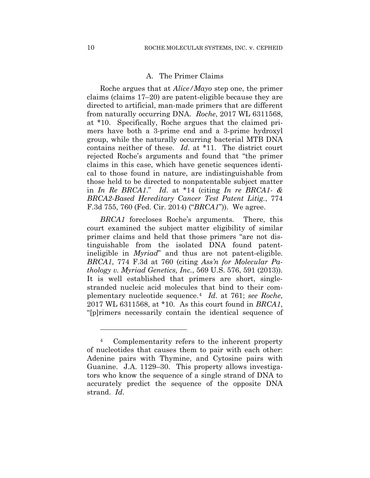### A. The Primer Claims

Roche argues that at *Alice/Mayo* step one, the primer claims (claims 17–20) are patent-eligible because they are directed to artificial, man-made primers that are different from naturally occurring DNA. *Roche*, 2017 WL 6311568, at \*10. Specifically, Roche argues that the claimed primers have both a 3-prime end and a 3-prime hydroxyl group, while the naturally occurring bacterial MTB DNA contains neither of these. *Id*. at \*11. The district court rejected Roche's arguments and found that "the primer claims in this case, which have genetic sequences identical to those found in nature, are indistinguishable from those held to be directed to nonpatentable subject matter in *In Re BRCA1*." *Id*. at \*14 (citing *In re BRCA1- & BRCA2-Based Hereditary Cancer Test Patent Litig.*, 774 F.3d 755, 760 (Fed. Cir. 2014) ("*BRCA1*")). We agree.

*BRCA1* forecloses Roche's arguments. There, this court examined the subject matter eligibility of similar primer claims and held that those primers "are not distinguishable from the isolated DNA found patentineligible in *Myriad*" and thus are not patent-eligible. *BRCA1*, 774 F.3d at 760 (citing *Ass'n for Molecular Pathology v. Myriad Genetics, Inc.*, 569 U.S. 576, 591 (2013)). It is well established that primers are short, singlestranded nucleic acid molecules that bind to their complementary nucleotide sequence.4 *Id*. at 761; *see Roche*, 2017 WL 6311568, at \*10. As this court found in *BRCA1*, "[p]rimers necessarily contain the identical sequence of

<u>.</u>

<sup>4</sup> Complementarity refers to the inherent property of nucleotides that causes them to pair with each other: Adenine pairs with Thymine, and Cytosine pairs with Guanine. J.A. 1129–30. This property allows investigators who know the sequence of a single strand of DNA to accurately predict the sequence of the opposite DNA strand. *Id*.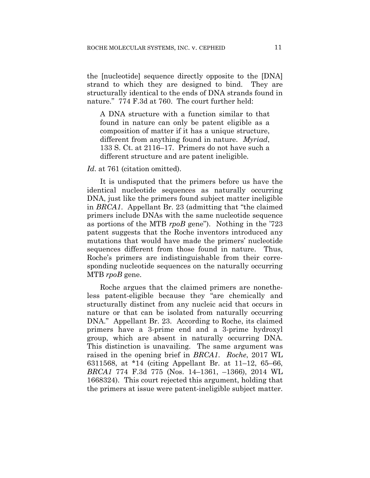the [nucleotide] sequence directly opposite to the [DNA] strand to which they are designed to bind. They are structurally identical to the ends of DNA strands found in nature." 774 F.3d at 760. The court further held:

A DNA structure with a function similar to that found in nature can only be patent eligible as a composition of matter if it has a unique structure, different from anything found in nature. *Myriad*, 133 S. Ct. at 2116–17. Primers do not have such a different structure and are patent ineligible.

### *Id*. at 761 (citation omitted).

It is undisputed that the primers before us have the identical nucleotide sequences as naturally occurring DNA, just like the primers found subject matter ineligible in *BRCA1*. Appellant Br. 23 (admitting that "the claimed primers include DNAs with the same nucleotide sequence as portions of the MTB *rpoB* gene"). Nothing in the '723 patent suggests that the Roche inventors introduced any mutations that would have made the primers' nucleotide sequences different from those found in nature. Thus, Roche's primers are indistinguishable from their corresponding nucleotide sequences on the naturally occurring MTB *rpoB* gene.

Roche argues that the claimed primers are nonetheless patent-eligible because they "are chemically and structurally distinct from any nucleic acid that occurs in nature or that can be isolated from naturally occurring DNA." Appellant Br. 23. According to Roche, its claimed primers have a 3-prime end and a 3-prime hydroxyl group, which are absent in naturally occurring DNA. This distinction is unavailing. The same argument was raised in the opening brief in *BRCA1*. *Roche*, 2017 WL 6311568, at \*14 (citing Appellant Br. at 11–12, 65–66, *BRCA1* 774 F.3d 775 (Nos. 14–1361, –1366), 2014 WL 1668324). This court rejected this argument, holding that the primers at issue were patent-ineligible subject matter.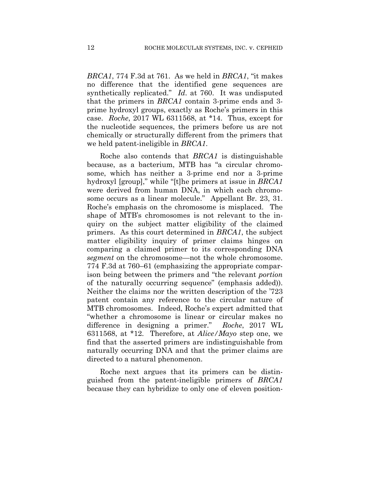*BRCA1*, 774 F.3d at 761. As we held in *BRCA1*, "it makes no difference that the identified gene sequences are synthetically replicated." *Id*. at 760. It was undisputed that the primers in *BRCA1* contain 3-prime ends and 3 prime hydroxyl groups, exactly as Roche's primers in this case. *Roche*, 2017 WL 6311568, at \*14. Thus, except for the nucleotide sequences, the primers before us are not chemically or structurally different from the primers that we held patent-ineligible in *BRCA1*.

Roche also contends that *BRCA1* is distinguishable because, as a bacterium, MTB has "a circular chromosome, which has neither a 3-prime end nor a 3-prime hydroxyl [group]," while "[t]he primers at issue in *BRCA1* were derived from human DNA, in which each chromosome occurs as a linear molecule." Appellant Br. 23, 31. Roche's emphasis on the chromosome is misplaced. The shape of MTB's chromosomes is not relevant to the inquiry on the subject matter eligibility of the claimed primers. As this court determined in *BRCA1*, the subject matter eligibility inquiry of primer claims hinges on comparing a claimed primer to its corresponding DNA *segment* on the chromosome—not the whole chromosome. 774 F.3d at 760–61 (emphasizing the appropriate comparison being between the primers and "the relevant *portion* of the naturally occurring sequence" (emphasis added)). Neither the claims nor the written description of the '723 patent contain any reference to the circular nature of MTB chromosomes. Indeed, Roche's expert admitted that "whether a chromosome is linear or circular makes no difference in designing a primer." *Roche*, 2017 WL 6311568, at \*12. Therefore, at *Alice/Mayo* step one, we find that the asserted primers are indistinguishable from naturally occurring DNA and that the primer claims are directed to a natural phenomenon.

Roche next argues that its primers can be distinguished from the patent-ineligible primers of *BRCA1* because they can hybridize to only one of eleven position-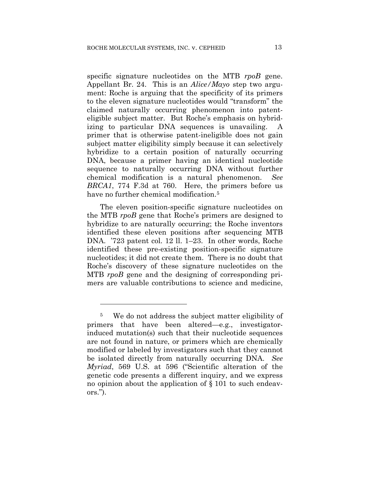specific signature nucleotides on the MTB *rpoB* gene. Appellant Br. 24. This is an *Alice/Mayo* step two argument: Roche is arguing that the specificity of its primers to the eleven signature nucleotides would "transform" the claimed naturally occurring phenomenon into patenteligible subject matter. But Roche's emphasis on hybridizing to particular DNA sequences is unavailing. A primer that is otherwise patent-ineligible does not gain subject matter eligibility simply because it can selectively hybridize to a certain position of naturally occurring DNA, because a primer having an identical nucleotide sequence to naturally occurring DNA without further chemical modification is a natural phenomenon. *See BRCA1*, 774 F.3d at 760. Here, the primers before us have no further chemical modification.<sup>5</sup>

The eleven position-specific signature nucleotides on the MTB *rpoB* gene that Roche's primers are designed to hybridize to are naturally occurring; the Roche inventors identified these eleven positions after sequencing MTB DNA. '723 patent col. 12 ll. 1–23. In other words, Roche identified these pre-existing position-specific signature nucleotides; it did not create them. There is no doubt that Roche's discovery of these signature nucleotides on the MTB *rpoB* gene and the designing of corresponding primers are valuable contributions to science and medicine,

<u>.</u>

<sup>5</sup> We do not address the subject matter eligibility of primers that have been altered—e.g., investigatorinduced mutation(s) such that their nucleotide sequences are not found in nature, or primers which are chemically modified or labeled by investigators such that they cannot be isolated directly from naturally occurring DNA. *See Myriad*, 569 U.S. at 596 ("Scientific alteration of the genetic code presents a different inquiry, and we express no opinion about the application of § 101 to such endeavors.").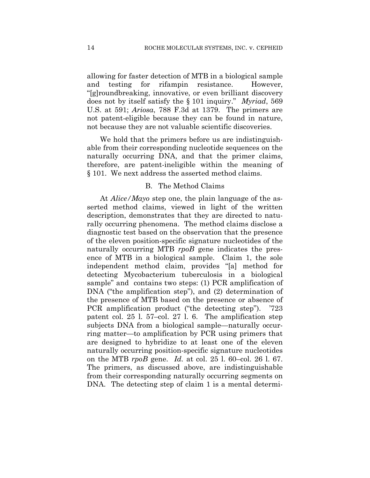allowing for faster detection of MTB in a biological sample and testing for rifampin resistance. However, "[g]roundbreaking, innovative, or even brilliant discovery does not by itself satisfy the § 101 inquiry." *Myriad*, 569 U.S. at 591; *Ariosa*, 788 F.3d at 1379. The primers are not patent-eligible because they can be found in nature, not because they are not valuable scientific discoveries.

We hold that the primers before us are indistinguishable from their corresponding nucleotide sequences on the naturally occurring DNA, and that the primer claims, therefore, are patent-ineligible within the meaning of § 101. We next address the asserted method claims.

### B. The Method Claims

At *Alice/Mayo* step one, the plain language of the asserted method claims, viewed in light of the written description, demonstrates that they are directed to naturally occurring phenomena. The method claims disclose a diagnostic test based on the observation that the presence of the eleven position-specific signature nucleotides of the naturally occurring MTB *rpoB* gene indicates the presence of MTB in a biological sample. Claim 1, the sole independent method claim, provides "[a] method for detecting Mycobacterium tuberculosis in a biological sample" and contains two steps: (1) PCR amplification of DNA ("the amplification step"), and (2) determination of the presence of MTB based on the presence or absence of PCR amplification product ("the detecting step"). '723 patent col. 25 l. 57–col. 27 l. 6. The amplification step subjects DNA from a biological sample—naturally occurring matter—to amplification by PCR using primers that are designed to hybridize to at least one of the eleven naturally occurring position-specific signature nucleotides on the MTB *rpoB* gene. *Id.* at col. 25 l. 60–col. 26 l. 67. The primers, as discussed above, are indistinguishable from their corresponding naturally occurring segments on DNA. The detecting step of claim 1 is a mental determi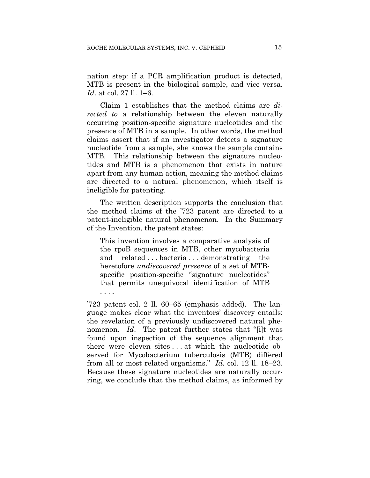nation step: if a PCR amplification product is detected, MTB is present in the biological sample, and vice versa. *Id*. at col. 27 ll. 1–6.

Claim 1 establishes that the method claims are *directed to* a relationship between the eleven naturally occurring position-specific signature nucleotides and the presence of MTB in a sample. In other words, the method claims assert that if an investigator detects a signature nucleotide from a sample, she knows the sample contains MTB. This relationship between the signature nucleotides and MTB is a phenomenon that exists in nature apart from any human action, meaning the method claims are directed to a natural phenomenon, which itself is ineligible for patenting.

The written description supports the conclusion that the method claims of the '723 patent are directed to a patent-ineligible natural phenomenon. In the Summary of the Invention, the patent states:

This invention involves a comparative analysis of the rpoB sequences in MTB, other mycobacteria and related . . . bacteria . . . demonstrating the heretofore *undiscovered presence* of a set of MTBspecific position-specific "signature nucleotides" that permits unequivocal identification of MTB . . . .

'723 patent col. 2 ll. 60–65 (emphasis added). The language makes clear what the inventors' discovery entails: the revelation of a previously undiscovered natural phenomenon. *Id*. The patent further states that "[i]t was found upon inspection of the sequence alignment that there were eleven sites . . . at which the nucleotide observed for Mycobacterium tuberculosis (MTB) differed from all or most related organisms." *Id.* col. 12 ll. 18–23. Because these signature nucleotides are naturally occurring, we conclude that the method claims, as informed by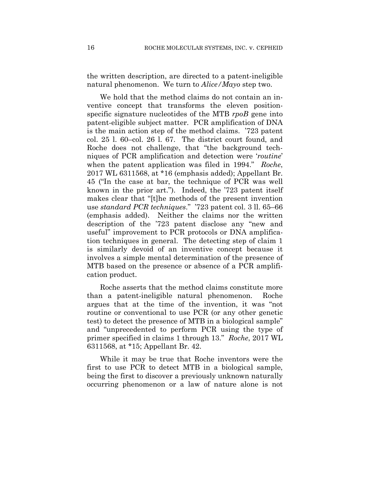the written description, are directed to a patent-ineligible natural phenomenon. We turn to *Alice/Mayo* step two.

We hold that the method claims do not contain an inventive concept that transforms the eleven positionspecific signature nucleotides of the MTB *rpoB* gene into patent-eligible subject matter. PCR amplification of DNA is the main action step of the method claims. '723 patent col. 25 l. 60–col. 26 l. 67. The district court found, and Roche does not challenge, that "the background techniques of PCR amplification and detection were '*routine*' when the patent application was filed in 1994." *Roche*, 2017 WL 6311568, at \*16 (emphasis added); Appellant Br. 45 ("In the case at bar, the technique of PCR was well known in the prior art."). Indeed, the '723 patent itself makes clear that "[t]he methods of the present invention use *standard PCR techniques*." '723 patent col. 3 ll. 65–66 (emphasis added). Neither the claims nor the written description of the '723 patent disclose any "new and useful" improvement to PCR protocols or DNA amplification techniques in general. The detecting step of claim 1 is similarly devoid of an inventive concept because it involves a simple mental determination of the presence of MTB based on the presence or absence of a PCR amplification product.

Roche asserts that the method claims constitute more than a patent-ineligible natural phenomenon. Roche argues that at the time of the invention, it was "not routine or conventional to use PCR (or any other genetic test) to detect the presence of MTB in a biological sample" and "unprecedented to perform PCR using the type of primer specified in claims 1 through 13." *Roche*, 2017 WL 6311568, at \*15; Appellant Br. 42.

While it may be true that Roche inventors were the first to use PCR to detect MTB in a biological sample, being the first to discover a previously unknown naturally occurring phenomenon or a law of nature alone is not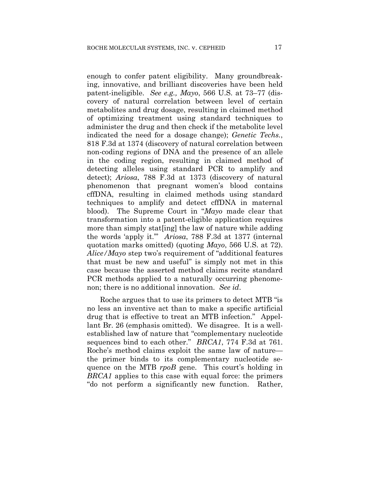enough to confer patent eligibility. Many groundbreaking, innovative, and brilliant discoveries have been held patent-ineligible. *See e.g., Mayo*, 566 U.S. at 73–77 (discovery of natural correlation between level of certain metabolites and drug dosage, resulting in claimed method of optimizing treatment using standard techniques to administer the drug and then check if the metabolite level indicated the need for a dosage change); *Genetic Techs.*, 818 F.3d at 1374 (discovery of natural correlation between non-coding regions of DNA and the presence of an allele in the coding region, resulting in claimed method of detecting alleles using standard PCR to amplify and detect); *Ariosa*, 788 F.3d at 1373 (discovery of natural phenomenon that pregnant women's blood contains cffDNA, resulting in claimed methods using standard techniques to amplify and detect cffDNA in maternal blood). The Supreme Court in "*Mayo* made clear that transformation into a patent-eligible application requires more than simply stat [ing] the law of nature while adding the words 'apply it.'" *Ariosa*, 788 F.3d at 1377 (internal quotation marks omitted) (quoting *Mayo*, 566 U.S. at 72). *Alice/Mayo* step two's requirement of "additional features that must be new and useful" is simply not met in this case because the asserted method claims recite standard PCR methods applied to a naturally occurring phenomenon; there is no additional innovation. *See id*.

Roche argues that to use its primers to detect MTB "is no less an inventive act than to make a specific artificial drug that is effective to treat an MTB infection." Appellant Br. 26 (emphasis omitted). We disagree. It is a wellestablished law of nature that "complementary nucleotide sequences bind to each other." *BRCA1*, 774 F.3d at 761. Roche's method claims exploit the same law of nature the primer binds to its complementary nucleotide sequence on the MTB *rpoB* gene. This court's holding in *BRCA1* applies to this case with equal force: the primers "do not perform a significantly new function. Rather,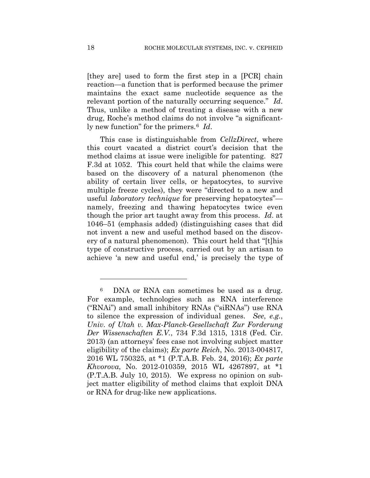[they are] used to form the first step in a [PCR] chain reaction—a function that is performed because the primer maintains the exact same nucleotide sequence as the relevant portion of the naturally occurring sequence." *Id*. Thus, unlike a method of treating a disease with a new drug, Roche's method claims do not involve "a significantly new function" for the primers.6 *Id*.

This case is distinguishable from *CellzDirect*, where this court vacated a district court's decision that the method claims at issue were ineligible for patenting. 827 F.3d at 1052. This court held that while the claims were based on the discovery of a natural phenomenon (the ability of certain liver cells, or hepatocytes, to survive multiple freeze cycles), they were "directed to a new and useful *laboratory technique* for preserving hepatocytes" namely, freezing and thawing hepatocytes twice even though the prior art taught away from this process. *Id*. at 1046–51 (emphasis added) (distinguishing cases that did not invent a new and useful method based on the discovery of a natural phenomenon). This court held that "[t]his type of constructive process, carried out by an artisan to achieve 'a new and useful end,' is precisely the type of

<u>.</u>

<sup>&</sup>lt;sup>6</sup> DNA or RNA can sometimes be used as a drug. For example, technologies such as RNA interference ("RNAi") and small inhibitory RNAs ("siRNAs") use RNA to silence the expression of individual genes. *See*, *e.g.*, *Univ. of Utah v. Max-Planck-Gesellschaft Zur Forderung Der Wissenschaften E.V.*, 734 F.3d 1315, 1318 (Fed. Cir. 2013) (an attorneys' fees case not involving subject matter eligibility of the claims); *Ex parte Reich*, No. 2013-004817, 2016 WL 750325, at \*1 (P.T.A.B. Feb. 24, 2016); *Ex parte Khvorova*, No. 2012-010359, 2015 WL 4267897, at \*1 (P.T.A.B. July 10, 2015). We express no opinion on subject matter eligibility of method claims that exploit DNA or RNA for drug-like new applications.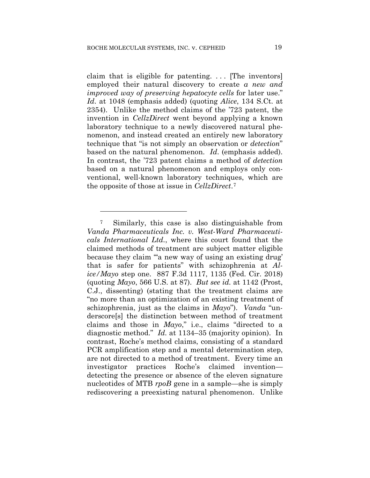1

claim that is eligible for patenting.  $\ldots$  [The inventors] employed their natural discovery to create *a new and improved way of preserving hepatocyte cells* for later use." *Id*. at 1048 (emphasis added) (quoting *Alice*, 134 S.Ct. at 2354). Unlike the method claims of the '723 patent, the invention in *CellzDirect* went beyond applying a known laboratory technique to a newly discovered natural phenomenon, and instead created an entirely new laboratory technique that "is not simply an observation or *detection*" based on the natural phenomenon. *Id*. (emphasis added). In contrast, the '723 patent claims a method of *detection* based on a natural phenomenon and employs only conventional, well-known laboratory techniques, which are the opposite of those at issue in *CellzDirect*.7

<sup>7</sup> Similarly, this case is also distinguishable from *Vanda Pharmaceuticals Inc. v. West-Ward Pharmaceuticals International Ltd.*, where this court found that the claimed methods of treatment are subject matter eligible because they claim "'a new way of using an existing drug' that is safer for patients" with schizophrenia at *Alice/Mayo* step one. 887 F.3d 1117, 1135 (Fed. Cir. 2018) (quoting *Mayo*, 566 U.S. at 87). *But see id.* at 1142 (Prost, C.J., dissenting) (stating that the treatment claims are "no more than an optimization of an existing treatment of schizophrenia, just as the claims in *Mayo*"). *Vanda* "underscore[s] the distinction between method of treatment claims and those in *Mayo*," i.e., claims "directed to a diagnostic method." *Id.* at 1134–35 (majority opinion). In contrast, Roche's method claims, consisting of a standard PCR amplification step and a mental determination step, are not directed to a method of treatment. Every time an investigator practices Roche's claimed invention detecting the presence or absence of the eleven signature nucleotides of MTB *rpoB* gene in a sample—she is simply rediscovering a preexisting natural phenomenon. Unlike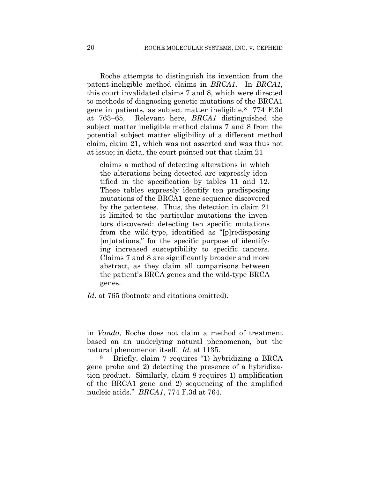Roche attempts to distinguish its invention from the patent-ineligible method claims in *BRCA1*. In *BRCA1*, this court invalidated claims 7 and 8, which were directed to methods of diagnosing genetic mutations of the BRCA1 gene in patients, as subject matter ineligible.8 774 F.3d at 763–65. Relevant here, *BRCA1* distinguished the subject matter ineligible method claims 7 and 8 from the potential subject matter eligibility of a different method claim, claim 21, which was not asserted and was thus not at issue; in dicta, the court pointed out that claim 21

claims a method of detecting alterations in which the alterations being detected are expressly identified in the specification by tables 11 and 12. These tables expressly identify ten predisposing mutations of the BRCA1 gene sequence discovered by the patentees. Thus, the detection in claim 21 is limited to the particular mutations the inventors discovered: detecting ten specific mutations from the wild-type, identified as "[p]redisposing [m]utations," for the specific purpose of identifying increased susceptibility to specific cancers. Claims 7 and 8 are significantly broader and more abstract, as they claim all comparisons between the patient's BRCA genes and the wild-type BRCA genes.

*Id*. at 765 (footnote and citations omitted).

l

in *Vanda*, Roche does not claim a method of treatment based on an underlying natural phenomenon, but the natural phenomenon itself. *Id.* at 1135.

<sup>8</sup> Briefly, claim 7 requires "1) hybridizing a BRCA gene probe and 2) detecting the presence of a hybridization product. Similarly, claim 8 requires 1) amplification of the BRCA1 gene and 2) sequencing of the amplified nucleic acids." *BRCA1*, 774 F.3d at 764.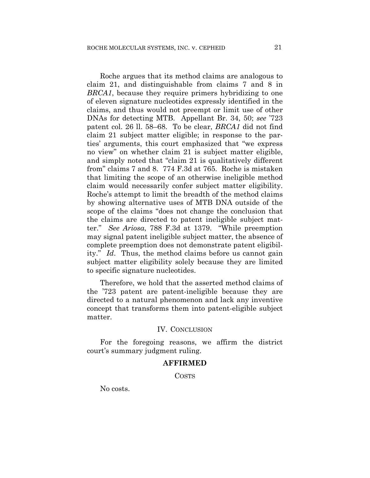Roche argues that its method claims are analogous to claim 21, and distinguishable from claims 7 and 8 in *BRCA1*, because they require primers hybridizing to one of eleven signature nucleotides expressly identified in the claims, and thus would not preempt or limit use of other DNAs for detecting MTB. Appellant Br. 34, 50; *see* '723 patent col. 26 ll. 58–68. To be clear, *BRCA1* did not find claim 21 subject matter eligible; in response to the parties' arguments, this court emphasized that "we express no view" on whether claim 21 is subject matter eligible, and simply noted that "claim 21 is qualitatively different from" claims 7 and 8. 774 F.3d at 765. Roche is mistaken that limiting the scope of an otherwise ineligible method claim would necessarily confer subject matter eligibility. Roche's attempt to limit the breadth of the method claims by showing alternative uses of MTB DNA outside of the scope of the claims "does not change the conclusion that the claims are directed to patent ineligible subject matter." *See Ariosa*, 788 F.3d at 1379. "While preemption may signal patent ineligible subject matter, the absence of complete preemption does not demonstrate patent eligibility." *Id*. Thus, the method claims before us cannot gain subject matter eligibility solely because they are limited to specific signature nucleotides.

Therefore, we hold that the asserted method claims of the '723 patent are patent-ineligible because they are directed to a natural phenomenon and lack any inventive concept that transforms them into patent-eligible subject matter.

#### IV. CONCLUSION

For the foregoing reasons, we affirm the district court's summary judgment ruling.

#### **AFFIRMED**

COSTS

No costs.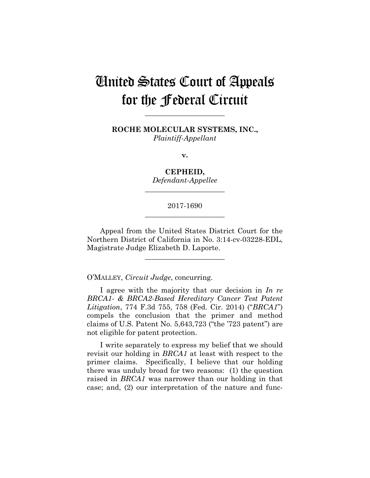# United States Court of Appeals for the Federal Circuit

**ROCHE MOLECULAR SYSTEMS, INC.,** *Plaintiff-Appellant*

**\_\_\_\_\_\_\_\_\_\_\_\_\_\_\_\_\_\_\_\_\_\_** 

**v.**

**CEPHEID,** *Defendant-Appellee*

## 2017-1690 **\_\_\_\_\_\_\_\_\_\_\_\_\_\_\_\_\_\_\_\_\_\_**

**\_\_\_\_\_\_\_\_\_\_\_\_\_\_\_\_\_\_\_\_\_\_** 

Appeal from the United States District Court for the Northern District of California in No. 3:14-cv-03228-EDL, Magistrate Judge Elizabeth D. Laporte.

**\_\_\_\_\_\_\_\_\_\_\_\_\_\_\_\_\_\_\_\_\_\_** 

O'MALLEY, *Circuit Judge*, concurring.

I agree with the majority that our decision in *In re BRCA1- & BRCA2-Based Hereditary Cancer Test Patent Litigation*, 774 F.3d 755, 758 (Fed. Cir. 2014) ("*BRCA1*") compels the conclusion that the primer and method claims of U.S. Patent No. 5,643,723 ("the '723 patent") are not eligible for patent protection.

I write separately to express my belief that we should revisit our holding in *BRCA1* at least with respect to the primer claims. Specifically, I believe that our holding there was unduly broad for two reasons: (1) the question raised in *BRCA1* was narrower than our holding in that case; and, (2) our interpretation of the nature and func-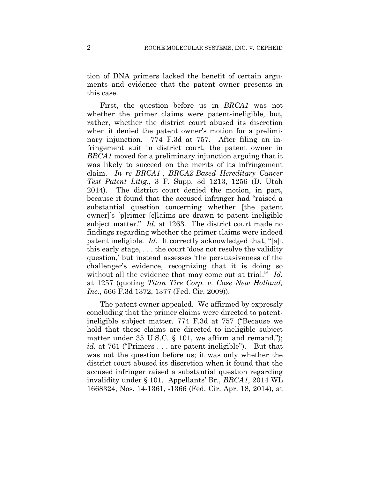tion of DNA primers lacked the benefit of certain arguments and evidence that the patent owner presents in this case.

First, the question before us in *BRCA1* was not whether the primer claims were patent-ineligible, but, rather, whether the district court abused its discretion when it denied the patent owner's motion for a preliminary injunction. 774 F.3d at 757. After filing an infringement suit in district court, the patent owner in *BRCA1* moved for a preliminary injunction arguing that it was likely to succeed on the merits of its infringement claim. *In re BRCA1-, BRCA2-Based Hereditary Cancer Test Patent Litig.*, 3 F. Supp. 3d 1213, 1256 (D. Utah 2014). The district court denied the motion, in part, because it found that the accused infringer had "raised a substantial question concerning whether [the patent owner]'s [p]rimer [c]laims are drawn to patent ineligible subject matter." *Id.* at 1263. The district court made no findings regarding whether the primer claims were indeed patent ineligible. *Id.* It correctly acknowledged that, "[a]t this early stage, . . . the court 'does not resolve the validity question,' but instead assesses 'the persuasiveness of the challenger's evidence, recognizing that it is doing so without all the evidence that may come out at trial." *Id.* at 1257 (quoting *Titan Tire Corp. v. Case New Holland, Inc.*, 566 F.3d 1372, 1377 (Fed. Cir. 2009)).

The patent owner appealed. We affirmed by expressly concluding that the primer claims were directed to patentineligible subject matter. 774 F.3d at 757 ("Because we hold that these claims are directed to ineligible subject matter under 35 U.S.C. § 101, we affirm and remand."); *id.* at 761 ("Primers . . . are patent ineligible"). But that was not the question before us; it was only whether the district court abused its discretion when it found that the accused infringer raised a substantial question regarding invalidity under § 101. Appellants' Br., *BRCA1*, 2014 WL 1668324, Nos. 14-1361, -1366 (Fed. Cir. Apr. 18, 2014), at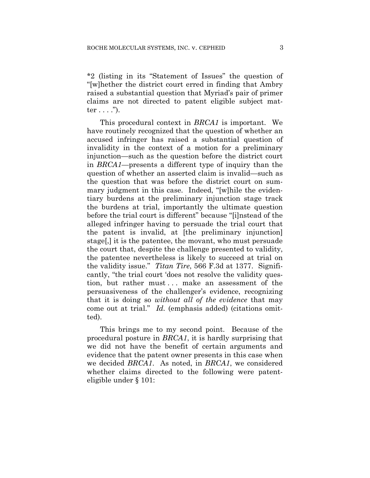\*2 (listing in its "Statement of Issues" the question of "[w]hether the district court erred in finding that Ambry raised a substantial question that Myriad's pair of primer claims are not directed to patent eligible subject matter  $\dots$  .").

This procedural context in *BRCA1* is important. We have routinely recognized that the question of whether an accused infringer has raised a substantial question of invalidity in the context of a motion for a preliminary injunction—such as the question before the district court in *BRCA1*—presents a different type of inquiry than the question of whether an asserted claim is invalid—such as the question that was before the district court on summary judgment in this case. Indeed, "[w]hile the evidentiary burdens at the preliminary injunction stage track the burdens at trial, importantly the ultimate question before the trial court is different" because "[i]nstead of the alleged infringer having to persuade the trial court that the patent is invalid, at [the preliminary injunction] stage[,] it is the patentee, the movant, who must persuade the court that, despite the challenge presented to validity, the patentee nevertheless is likely to succeed at trial on the validity issue." *Titan Tire*, 566 F.3d at 1377. Significantly, "the trial court 'does not resolve the validity question, but rather must... make an assessment of the persuasiveness of the challenger's evidence, recognizing that it is doing so *without all of the evidence* that may come out at trial." *Id.* (emphasis added) (citations omitted).

This brings me to my second point. Because of the procedural posture in *BRCA1*, it is hardly surprising that we did not have the benefit of certain arguments and evidence that the patent owner presents in this case when we decided *BRCA1*. As noted, in *BRCA1*, we considered whether claims directed to the following were patenteligible under § 101: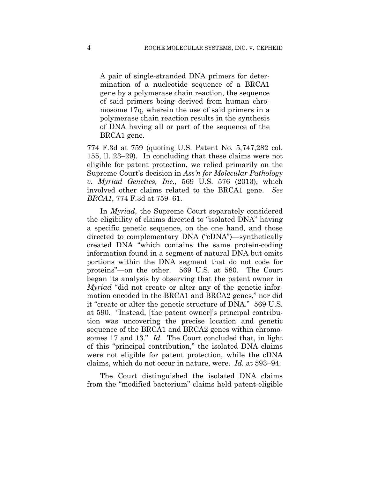A pair of single-stranded DNA primers for determination of a nucleotide sequence of a BRCA1 gene by a polymerase chain reaction, the sequence of said primers being derived from human chromosome 17q, wherein the use of said primers in a polymerase chain reaction results in the synthesis of DNA having all or part of the sequence of the BRCA1 gene.

774 F.3d at 759 (quoting U.S. Patent No. 5,747,282 col. 155, ll. 23–29). In concluding that these claims were not eligible for patent protection, we relied primarily on the Supreme Court's decision in *Ass'n for Molecular Pathology v. Myriad Genetics, Inc.*, 569 U.S. 576 (2013), which involved other claims related to the BRCA1 gene. *See BRCA1*, 774 F.3d at 759–61.

In *Myriad*, the Supreme Court separately considered the eligibility of claims directed to "isolated DNA" having a specific genetic sequence, on the one hand, and those directed to complementary DNA ("cDNA")—synthetically created DNA "which contains the same protein-coding information found in a segment of natural DNA but omits portions within the DNA segment that do not code for proteins"—on the other. 569 U.S. at 580. The Court began its analysis by observing that the patent owner in *Myriad* "did not create or alter any of the genetic information encoded in the BRCA1 and BRCA2 genes," nor did it "create or alter the genetic structure of DNA." 569 U.S. at 590. "Instead, [the patent owner]'s principal contribution was uncovering the precise location and genetic sequence of the BRCA1 and BRCA2 genes within chromosomes 17 and 13." *Id.* The Court concluded that, in light of this "principal contribution," the isolated DNA claims were not eligible for patent protection, while the cDNA claims, which do not occur in nature, were. *Id.* at 593–94.

The Court distinguished the isolated DNA claims from the "modified bacterium" claims held patent-eligible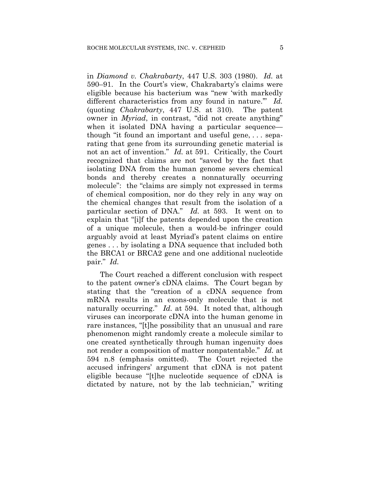in *Diamond v. Chakrabarty*, 447 U.S. 303 (1980). *Id.* at 590–91. In the Court's view, Chakrabarty's claims were eligible because his bacterium was "new 'with markedly different characteristics from any found in nature.'" *Id.* (quoting *Chakrabarty*, 447 U.S. at 310). The patent owner in *Myriad*, in contrast, "did not create anything" when it isolated DNA having a particular sequence though "it found an important and useful gene, . . . separating that gene from its surrounding genetic material is not an act of invention." *Id.* at 591. Critically, the Court recognized that claims are not "saved by the fact that isolating DNA from the human genome severs chemical bonds and thereby creates a nonnaturally occurring molecule": the "claims are simply not expressed in terms of chemical composition, nor do they rely in any way on the chemical changes that result from the isolation of a particular section of DNA." *Id.* at 593. It went on to explain that "[i]f the patents depended upon the creation of a unique molecule, then a would-be infringer could arguably avoid at least Myriad's patent claims on entire genes . . . by isolating a DNA sequence that included both the BRCA1 or BRCA2 gene and one additional nucleotide pair." *Id.*

The Court reached a different conclusion with respect to the patent owner's cDNA claims. The Court began by stating that the "creation of a cDNA sequence from mRNA results in an exons-only molecule that is not naturally occurring." *Id.* at 594. It noted that, although viruses can incorporate cDNA into the human genome in rare instances, "[t]he possibility that an unusual and rare phenomenon might randomly create a molecule similar to one created synthetically through human ingenuity does not render a composition of matter nonpatentable." *Id.* at 594 n.8 (emphasis omitted). The Court rejected the accused infringers' argument that cDNA is not patent eligible because "[t]he nucleotide sequence of cDNA is dictated by nature, not by the lab technician," writing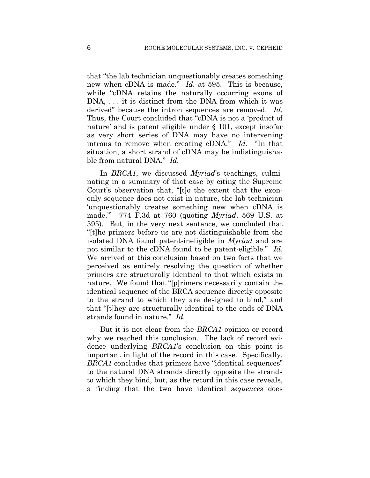that "the lab technician unquestionably creates something new when cDNA is made." *Id.* at 595. This is because, while "cDNA retains the naturally occurring exons of DNA, . . . it is distinct from the DNA from which it was derived" because the intron sequences are removed. *Id.* Thus, the Court concluded that "cDNA is not a 'product of nature' and is patent eligible under § 101, except insofar as very short series of DNA may have no intervening introns to remove when creating cDNA." *Id.* "In that situation, a short strand of cDNA may be indistinguishable from natural DNA." *Id.*

In *BRCA1*, we discussed *Myriad*'s teachings, culminating in a summary of that case by citing the Supreme Court's observation that, "[t]o the extent that the exononly sequence does not exist in nature, the lab technician 'unquestionably creates something new when cDNA is made.'" 774 F.3d at 760 (quoting *Myriad*, 569 U.S. at 595). But, in the very next sentence, we concluded that "[t]he primers before us are not distinguishable from the isolated DNA found patent-ineligible in *Myriad* and are not similar to the cDNA found to be patent-eligible." *Id*. We arrived at this conclusion based on two facts that we perceived as entirely resolving the question of whether primers are structurally identical to that which exists in nature. We found that "[p]rimers necessarily contain the identical sequence of the BRCA sequence directly opposite to the strand to which they are designed to bind," and that "[t]hey are structurally identical to the ends of DNA strands found in nature." *Id.*

But it is not clear from the *BRCA1* opinion or record why we reached this conclusion. The lack of record evidence underlying *BRCA1*'s conclusion on this point is important in light of the record in this case. Specifically, *BRCA1* concludes that primers have "identical sequences" to the natural DNA strands directly opposite the strands to which they bind, but, as the record in this case reveals, a finding that the two have identical *sequences* does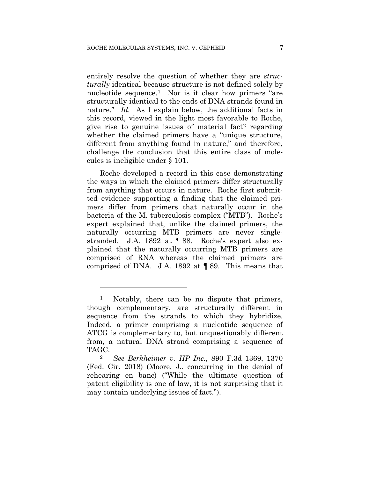entirely resolve the question of whether they are *structurally* identical because structure is not defined solely by nucleotide sequence.1 Nor is it clear how primers "are structurally identical to the ends of DNA strands found in nature." *Id.* As I explain below, the additional facts in this record, viewed in the light most favorable to Roche, give rise to genuine issues of material fact<sup>2</sup> regarding whether the claimed primers have a "unique structure, different from anything found in nature," and therefore, challenge the conclusion that this entire class of molecules is ineligible under § 101.

Roche developed a record in this case demonstrating the ways in which the claimed primers differ structurally from anything that occurs in nature. Roche first submitted evidence supporting a finding that the claimed primers differ from primers that naturally occur in the bacteria of the M. tuberculosis complex ("MTB"). Roche's expert explained that, unlike the claimed primers, the naturally occurring MTB primers are never singlestranded. J.A. 1892 at ¶ 88. Roche's expert also explained that the naturally occurring MTB primers are comprised of RNA whereas the claimed primers are comprised of DNA. J.A. 1892 at ¶ 89. This means that

1

<sup>&</sup>lt;sup>1</sup> Notably, there can be no dispute that primers, though complementary, are structurally different in sequence from the strands to which they hybridize. Indeed, a primer comprising a nucleotide sequence of ATCG is complementary to, but unquestionably different from, a natural DNA strand comprising a sequence of TAGC.

<sup>2</sup> *See Berkheimer v. HP Inc.*, 890 F.3d 1369, 1370 (Fed. Cir. 2018) (Moore, J., concurring in the denial of rehearing en banc) ("While the ultimate question of patent eligibility is one of law, it is not surprising that it may contain underlying issues of fact.").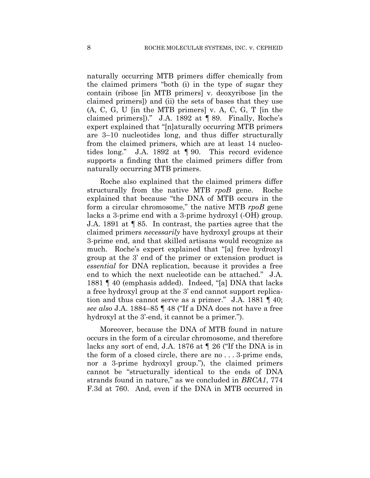naturally occurring MTB primers differ chemically from the claimed primers "both (i) in the type of sugar they contain (ribose [in MTB primers] v. deoxyribose [in the claimed primers]) and (ii) the sets of bases that they use (A, C, G, U [in the MTB primers] v. A, C, G, T [in the claimed primers])." J.A. 1892 at ¶ 89. Finally, Roche's expert explained that "[n]aturally occurring MTB primers are 3–10 nucleotides long, and thus differ structurally from the claimed primers, which are at least 14 nucleotides long." J.A. 1892 at ¶ 90. This record evidence supports a finding that the claimed primers differ from naturally occurring MTB primers.

Roche also explained that the claimed primers differ structurally from the native MTB *rpoB* gene. Roche explained that because "the DNA of MTB occurs in the form a circular chromosome," the native MTB *rpoB* gene lacks a 3-prime end with a 3-prime hydroxyl (-OH) group. J.A. 1891 at ¶ 85. In contrast, the parties agree that the claimed primers *necessarily* have hydroxyl groups at their 3-prime end, and that skilled artisans would recognize as much. Roche's expert explained that "[a] free hydroxyl group at the 3' end of the primer or extension product is *essential* for DNA replication, because it provides a free end to which the next nucleotide can be attached." J.A. 1881 ¶ 40 (emphasis added). Indeed, "[a] DNA that lacks a free hydroxyl group at the 3' end cannot support replication and thus cannot serve as a primer." J.A. 1881 ¶ 40; *see also* J.A. 1884–85 ¶ 48 ("If a DNA does not have a free hydroxyl at the 3'-end, it cannot be a primer.").

Moreover, because the DNA of MTB found in nature occurs in the form of a circular chromosome, and therefore lacks any sort of end, J.A. 1876 at ¶ 26 ("If the DNA is in the form of a closed circle, there are no . . . 3-prime ends, nor a 3-prime hydroxyl group."), the claimed primers cannot be "structurally identical to the ends of DNA strands found in nature," as we concluded in *BRCA1*, 774 F.3d at 760. And, even if the DNA in MTB occurred in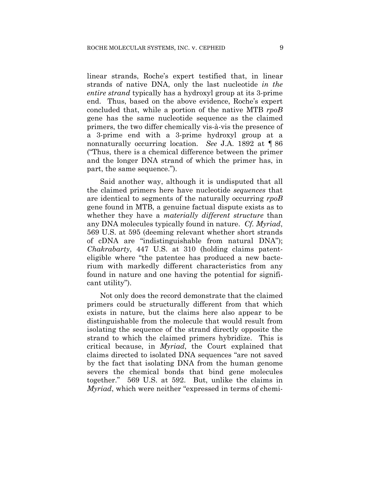linear strands, Roche's expert testified that, in linear strands of native DNA, only the last nucleotide *in the entire strand* typically has a hydroxyl group at its 3-prime end. Thus, based on the above evidence, Roche's expert concluded that, while a portion of the native MTB *rpoB* gene has the same nucleotide sequence as the claimed primers, the two differ chemically vis-à-vis the presence of a 3-prime end with a 3-prime hydroxyl group at a nonnaturally occurring location. *See* J.A. 1892 at ¶ 86 ("Thus, there is a chemical difference between the primer and the longer DNA strand of which the primer has, in part, the same sequence.").

Said another way, although it is undisputed that all the claimed primers here have nucleotide *sequences* that are identical to segments of the naturally occurring *rpoB* gene found in MTB, a genuine factual dispute exists as to whether they have a *materially different structure* than any DNA molecules typically found in nature. *Cf. Myriad*, 569 U.S. at 595 (deeming relevant whether short strands of cDNA are "indistinguishable from natural DNA"); *Chakrabarty*, 447 U.S. at 310 (holding claims patenteligible where "the patentee has produced a new bacterium with markedly different characteristics from any found in nature and one having the potential for significant utility").

Not only does the record demonstrate that the claimed primers could be structurally different from that which exists in nature, but the claims here also appear to be distinguishable from the molecule that would result from isolating the sequence of the strand directly opposite the strand to which the claimed primers hybridize. This is critical because, in *Myriad*, the Court explained that claims directed to isolated DNA sequences "are not saved by the fact that isolating DNA from the human genome severs the chemical bonds that bind gene molecules together." 569 U.S. at 592. But, unlike the claims in *Myriad*, which were neither "expressed in terms of chemi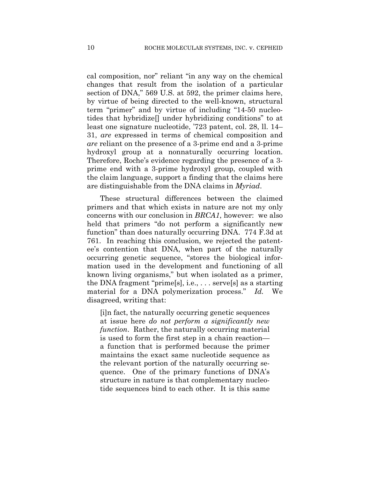cal composition, nor" reliant "in any way on the chemical changes that result from the isolation of a particular section of DNA," 569 U.S. at 592, the primer claims here, by virtue of being directed to the well-known, structural term "primer" and by virtue of including "14-50 nucleotides that hybridize[] under hybridizing conditions" to at least one signature nucleotide, '723 patent, col. 28, ll. 14– 31, *are* expressed in terms of chemical composition and *are* reliant on the presence of a 3-prime end and a 3-prime hydroxyl group at a nonnaturally occurring location. Therefore, Roche's evidence regarding the presence of a 3 prime end with a 3-prime hydroxyl group, coupled with the claim language, support a finding that the claims here are distinguishable from the DNA claims in *Myriad*.

These structural differences between the claimed primers and that which exists in nature are not my only concerns with our conclusion in *BRCA1*, however: we also held that primers "do not perform a significantly new function" than does naturally occurring DNA. 774 F.3d at 761. In reaching this conclusion, we rejected the patentee's contention that DNA, when part of the naturally occurring genetic sequence, "stores the biological information used in the development and functioning of all known living organisms," but when isolated as a primer, the DNA fragment "prime[s], i.e., . . . serve[s] as a starting material for a DNA polymerization process." *Id.* We disagreed, writing that:

[i]n fact, the naturally occurring genetic sequences at issue here *do not perform a significantly new function*. Rather, the naturally occurring material is used to form the first step in a chain reaction a function that is performed because the primer maintains the exact same nucleotide sequence as the relevant portion of the naturally occurring sequence. One of the primary functions of DNA's structure in nature is that complementary nucleotide sequences bind to each other. It is this same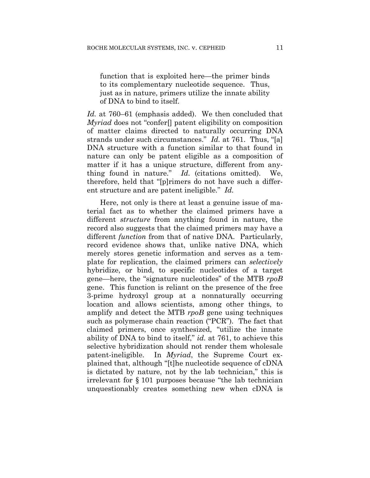function that is exploited here—the primer binds to its complementary nucleotide sequence. Thus, just as in nature, primers utilize the innate ability of DNA to bind to itself.

*Id.* at 760–61 (emphasis added). We then concluded that *Myriad* does not "confer[] patent eligibility on composition of matter claims directed to naturally occurring DNA strands under such circumstances." *Id.* at 761. Thus, "[a] DNA structure with a function similar to that found in nature can only be patent eligible as a composition of matter if it has a unique structure, different from anything found in nature." *Id.* (citations omitted). We, therefore, held that "[p]rimers do not have such a different structure and are patent ineligible." *Id.*

Here, not only is there at least a genuine issue of material fact as to whether the claimed primers have a different *structure* from anything found in nature, the record also suggests that the claimed primers may have a different *function* from that of native DNA. Particularly, record evidence shows that, unlike native DNA, which merely stores genetic information and serves as a template for replication, the claimed primers can *selectively* hybridize, or bind, to specific nucleotides of a target gene—here, the "signature nucleotides" of the MTB *rpoB* gene. This function is reliant on the presence of the free 3-prime hydroxyl group at a nonnaturally occurring location and allows scientists, among other things, to amplify and detect the MTB *rpoB* gene using techniques such as polymerase chain reaction ("PCR"). The fact that claimed primers, once synthesized, "utilize the innate ability of DNA to bind to itself," *id.* at 761, to achieve this selective hybridization should not render them wholesale patent-ineligible. In *Myriad*, the Supreme Court explained that, although "[t]he nucleotide sequence of cDNA is dictated by nature, not by the lab technician," this is irrelevant for § 101 purposes because "the lab technician unquestionably creates something new when cDNA is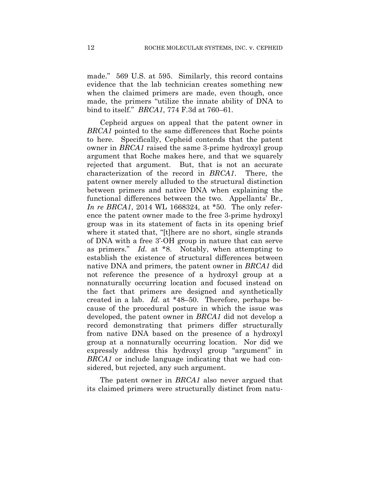made." 569 U.S. at 595. Similarly, this record contains evidence that the lab technician creates something new when the claimed primers are made, even though, once made, the primers "utilize the innate ability of DNA to bind to itself." *BRCA1*, 774 F.3d at 760–61.

Cepheid argues on appeal that the patent owner in *BRCA1* pointed to the same differences that Roche points to here. Specifically, Cepheid contends that the patent owner in *BRCA1* raised the same 3-prime hydroxyl group argument that Roche makes here, and that we squarely rejected that argument. But, that is not an accurate characterization of the record in *BRCA1*. There, the patent owner merely alluded to the structural distinction between primers and native DNA when explaining the functional differences between the two. Appellants' Br., *In re BRCA1*, 2014 WL 1668324, at \*50. The only reference the patent owner made to the free 3-prime hydroxyl group was in its statement of facts in its opening brief where it stated that, "[t]here are no short, single strands of DNA with a free 3'-OH group in nature that can serve as primers." *Id.* at \*8.Notably, when attempting to establish the existence of structural differences between native DNA and primers, the patent owner in *BRCA1* did not reference the presence of a hydroxyl group at a nonnaturally occurring location and focused instead on the fact that primers are designed and synthetically created in a lab. *Id.* at \*48–50. Therefore, perhaps because of the procedural posture in which the issue was developed, the patent owner in *BRCA1* did not develop a record demonstrating that primers differ structurally from native DNA based on the presence of a hydroxyl group at a nonnaturally occurring location. Nor did we expressly address this hydroxyl group "argument" in *BRCA1* or include language indicating that we had considered, but rejected, any such argument.

The patent owner in *BRCA1* also never argued that its claimed primers were structurally distinct from natu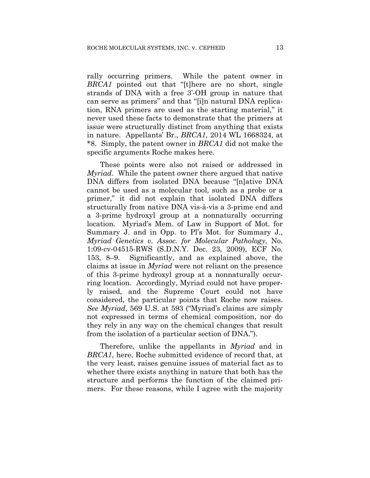rally occurring primers. While the patent owner in *BRCA1* pointed out that "[t]here are no short, single strands of DNA with a free 3'-OH group in nature that can serve as primers" and that "[i]n natural DNA replication, RNA primers are used as the starting material," it never used these facts to demonstrate that the primers at issue were structurally distinct from anything that exists in nature. Appellants' Br., *BRCA1*, 2014 WL 1668324, at \*8. Simply, the patent owner in *BRCA1* did not make the specific arguments Roche makes here.

These points were also not raised or addressed in *Myriad*. While the patent owner there argued that native DNA differs from isolated DNA because "[n]ative DNA cannot be used as a molecular tool, such as a probe or a primer," it did not explain that isolated DNA differs structurally from native DNA vis-à-vis a 3-prime end and a 3-prime hydroxyl group at a nonnaturally occurring location. Myriad's Mem. of Law in Support of Mot. for Summary J. and in Opp. to Pl's Mot. for Summary J., *Myriad Genetics v. Assoc. for Molecular Pathology*, No. 1:09-cv-04515-RWS (S.D.N.Y. Dec. 23, 2009), ECF No. 153, 8–9. Significantly, and as explained above, the claims at issue in *Myriad* were not reliant on the presence of this 3-prime hydroxyl group at a nonnaturally occurring location. Accordingly, Myriad could not have properly raised, and the Supreme Court could not have considered, the particular points that Roche now raises. *See Myriad*, 569 U.S. at 593 ("Myriad's claims are simply not expressed in terms of chemical composition, nor do they rely in any way on the chemical changes that result from the isolation of a particular section of DNA.").

Therefore, unlike the appellants in *Myriad* and in *BRCA1*, here, Roche submitted evidence of record that, at the very least, raises genuine issues of material fact as to whether there exists anything in nature that both has the structure and performs the function of the claimed primers. For these reasons, while I agree with the majority